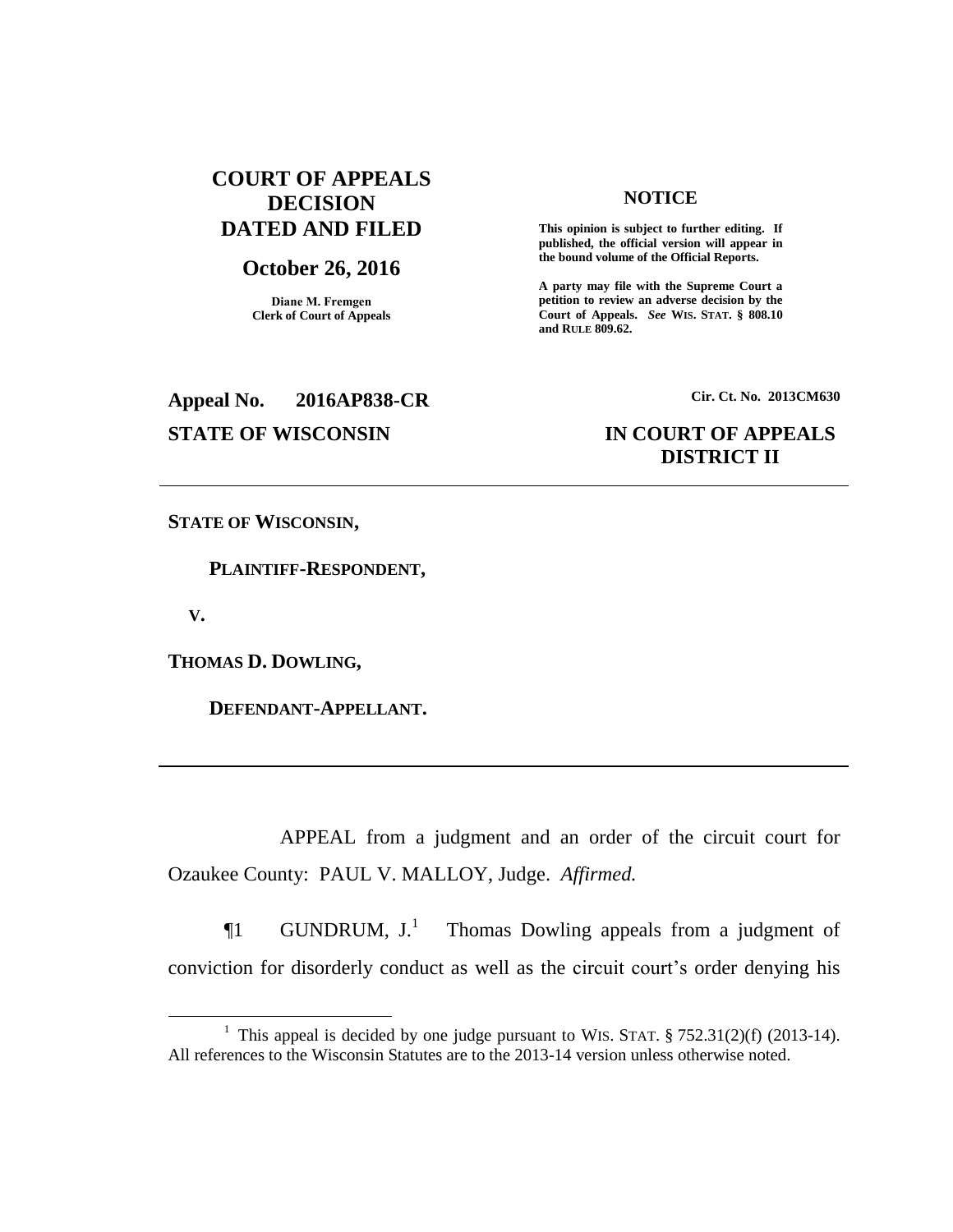# **COURT OF APPEALS DECISION DATED AND FILED**

## **October 26, 2016**

**Diane M. Fremgen Clerk of Court of Appeals**

## **NOTICE**

**This opinion is subject to further editing. If published, the official version will appear in the bound volume of the Official Reports.** 

**A party may file with the Supreme Court a petition to review an adverse decision by the Court of Appeals.** *See* **WIS. STAT. § 808.10 and RULE 809.62.** 

**Appeal No. 2016AP838-CR Cir. Ct. No. 2013CM630**

# **STATE OF WISCONSIN IN COURT OF APPEALS DISTRICT II**

**STATE OF WISCONSIN,**

 **PLAINTIFF-RESPONDENT,**

 **V.**

 $\overline{a}$ 

**THOMAS D. DOWLING,**

 **DEFENDANT-APPELLANT.**

APPEAL from a judgment and an order of the circuit court for Ozaukee County: PAUL V. MALLOY, Judge. *Affirmed.*

 $\P1$  GUNDRUM,  $J<sup>1</sup>$  Thomas Dowling appeals from a judgment of conviction for disorderly conduct as well as the circuit court's order denying his

<sup>&</sup>lt;sup>1</sup> This appeal is decided by one judge pursuant to WIS. STAT.  $\S 752.31(2)(f)$  (2013-14). All references to the Wisconsin Statutes are to the 2013-14 version unless otherwise noted.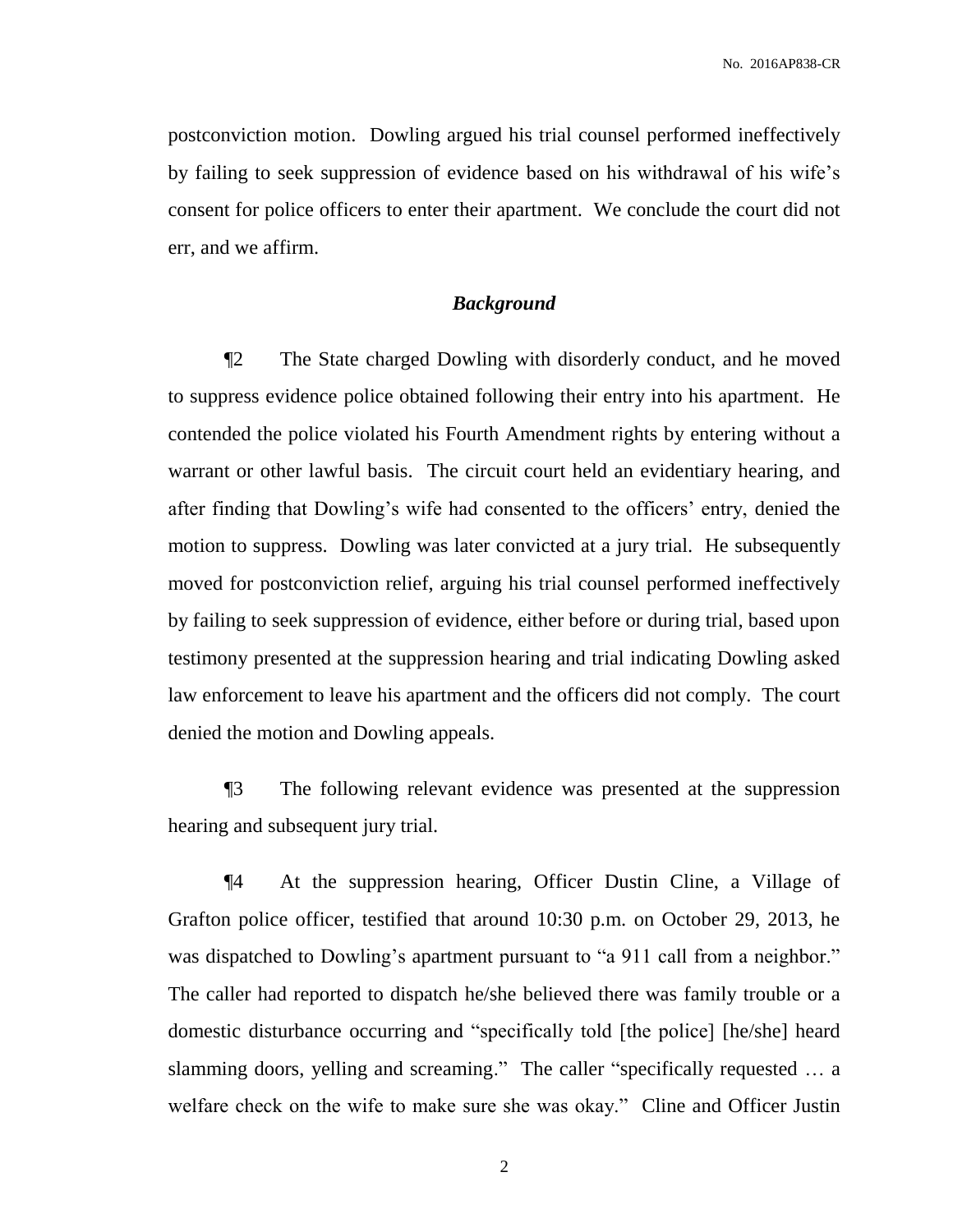postconviction motion. Dowling argued his trial counsel performed ineffectively by failing to seek suppression of evidence based on his withdrawal of his wife's consent for police officers to enter their apartment. We conclude the court did not err, and we affirm.

### *Background*

¶2 The State charged Dowling with disorderly conduct, and he moved to suppress evidence police obtained following their entry into his apartment. He contended the police violated his Fourth Amendment rights by entering without a warrant or other lawful basis. The circuit court held an evidentiary hearing, and after finding that Dowling's wife had consented to the officers' entry, denied the motion to suppress. Dowling was later convicted at a jury trial. He subsequently moved for postconviction relief, arguing his trial counsel performed ineffectively by failing to seek suppression of evidence, either before or during trial, based upon testimony presented at the suppression hearing and trial indicating Dowling asked law enforcement to leave his apartment and the officers did not comply. The court denied the motion and Dowling appeals.

¶3 The following relevant evidence was presented at the suppression hearing and subsequent jury trial.

¶4 At the suppression hearing, Officer Dustin Cline, a Village of Grafton police officer, testified that around 10:30 p.m. on October 29, 2013, he was dispatched to Dowling's apartment pursuant to "a 911 call from a neighbor." The caller had reported to dispatch he/she believed there was family trouble or a domestic disturbance occurring and "specifically told [the police] [he/she] heard slamming doors, yelling and screaming." The caller "specifically requested … a welfare check on the wife to make sure she was okay." Cline and Officer Justin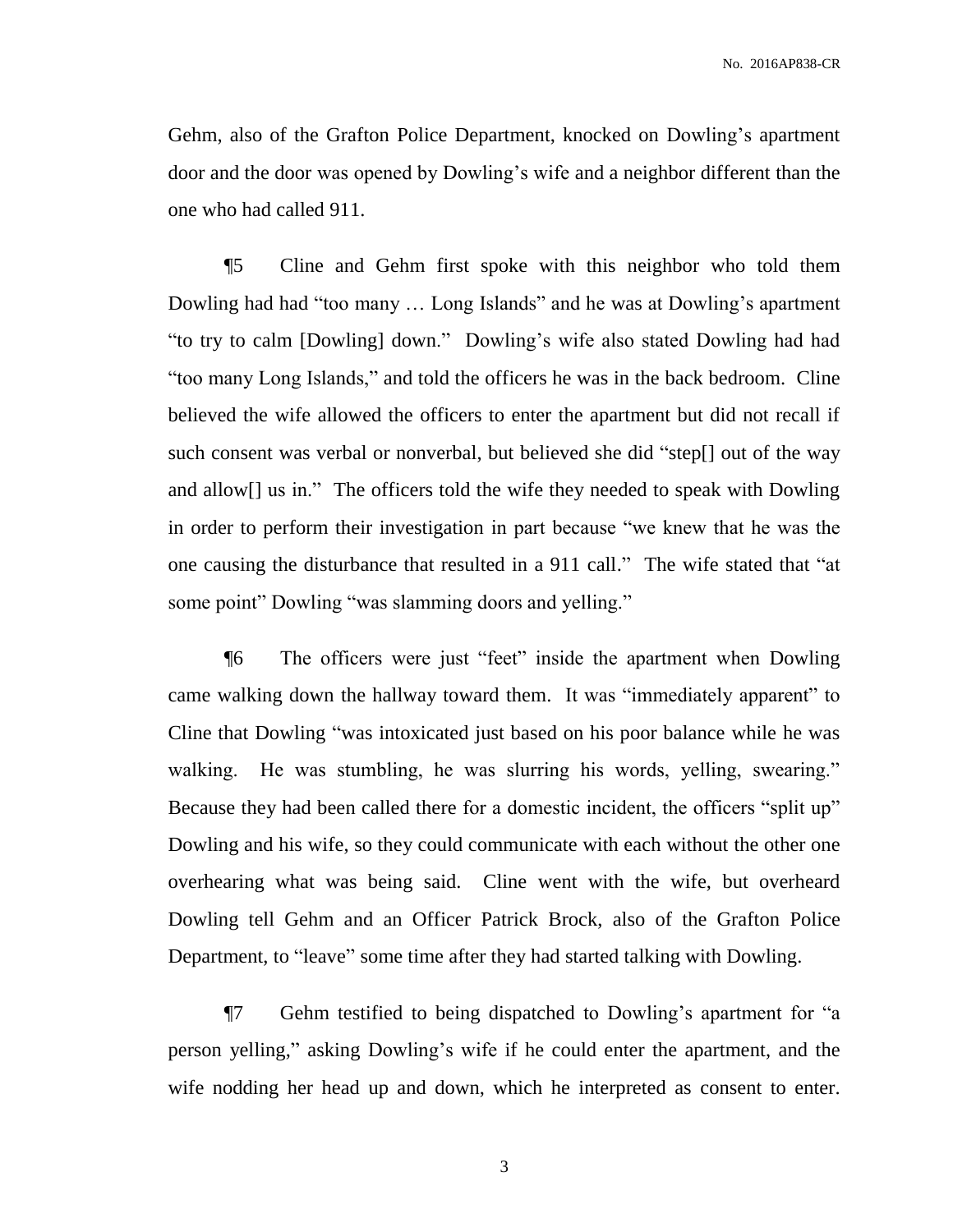Gehm, also of the Grafton Police Department, knocked on Dowling's apartment door and the door was opened by Dowling's wife and a neighbor different than the one who had called 911.

¶5 Cline and Gehm first spoke with this neighbor who told them Dowling had had "too many … Long Islands" and he was at Dowling's apartment "to try to calm [Dowling] down." Dowling's wife also stated Dowling had had "too many Long Islands," and told the officers he was in the back bedroom. Cline believed the wife allowed the officers to enter the apartment but did not recall if such consent was verbal or nonverbal, but believed she did "step[] out of the way and allow[] us in." The officers told the wife they needed to speak with Dowling in order to perform their investigation in part because "we knew that he was the one causing the disturbance that resulted in a 911 call." The wife stated that "at some point" Dowling "was slamming doors and yelling."

¶6 The officers were just "feet" inside the apartment when Dowling came walking down the hallway toward them. It was "immediately apparent" to Cline that Dowling "was intoxicated just based on his poor balance while he was walking. He was stumbling, he was slurring his words, yelling, swearing." Because they had been called there for a domestic incident, the officers "split up" Dowling and his wife, so they could communicate with each without the other one overhearing what was being said. Cline went with the wife, but overheard Dowling tell Gehm and an Officer Patrick Brock, also of the Grafton Police Department, to "leave" some time after they had started talking with Dowling.

¶7 Gehm testified to being dispatched to Dowling's apartment for "a person yelling," asking Dowling's wife if he could enter the apartment, and the wife nodding her head up and down, which he interpreted as consent to enter.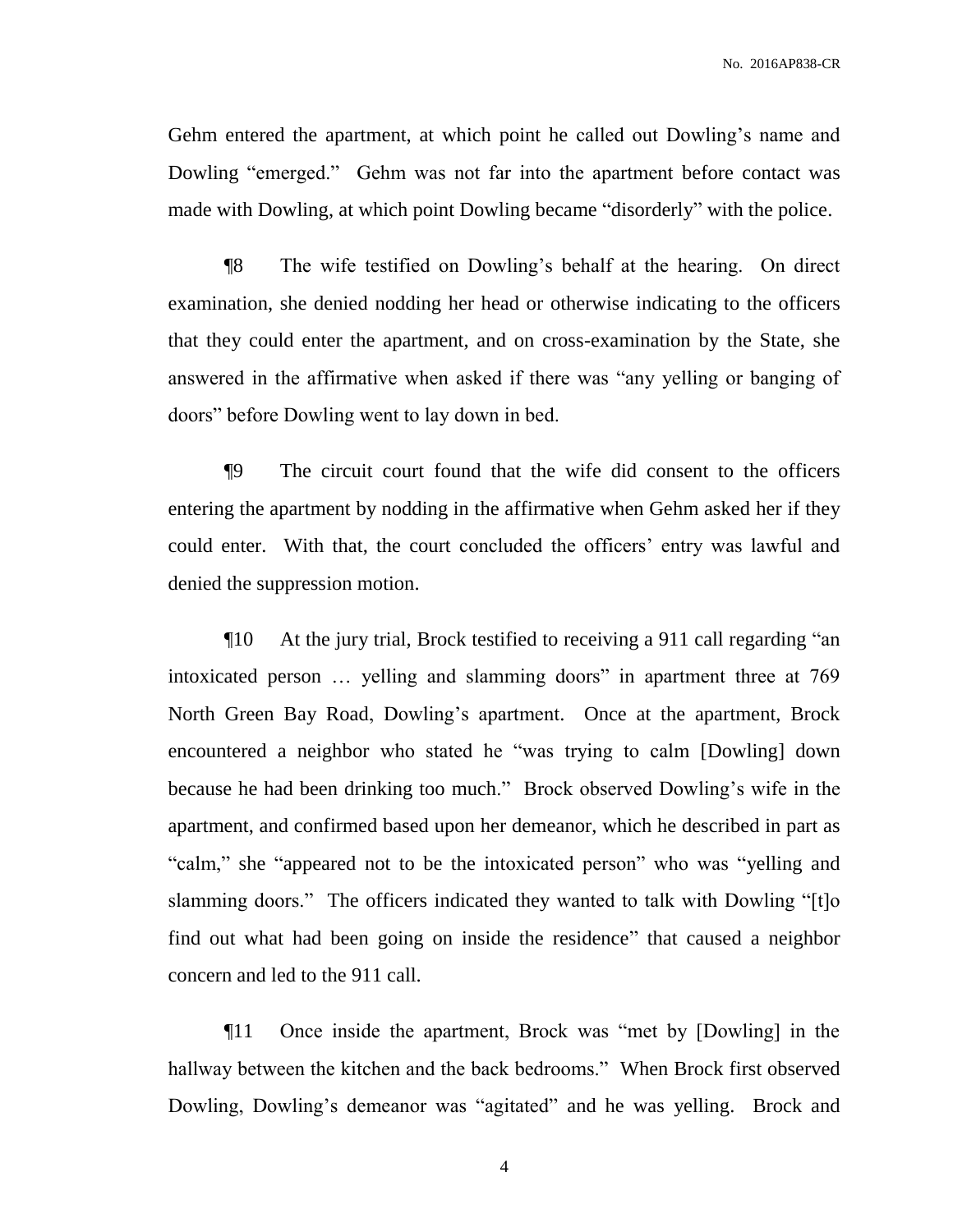Gehm entered the apartment, at which point he called out Dowling's name and Dowling "emerged." Gehm was not far into the apartment before contact was made with Dowling, at which point Dowling became "disorderly" with the police.

¶8 The wife testified on Dowling's behalf at the hearing. On direct examination, she denied nodding her head or otherwise indicating to the officers that they could enter the apartment, and on cross-examination by the State, she answered in the affirmative when asked if there was "any yelling or banging of doors" before Dowling went to lay down in bed.

¶9 The circuit court found that the wife did consent to the officers entering the apartment by nodding in the affirmative when Gehm asked her if they could enter. With that, the court concluded the officers' entry was lawful and denied the suppression motion.

¶10 At the jury trial, Brock testified to receiving a 911 call regarding "an intoxicated person … yelling and slamming doors" in apartment three at 769 North Green Bay Road, Dowling's apartment. Once at the apartment, Brock encountered a neighbor who stated he "was trying to calm [Dowling] down because he had been drinking too much." Brock observed Dowling's wife in the apartment, and confirmed based upon her demeanor, which he described in part as "calm," she "appeared not to be the intoxicated person" who was "yelling and slamming doors." The officers indicated they wanted to talk with Dowling "[t]o find out what had been going on inside the residence" that caused a neighbor concern and led to the 911 call.

¶11 Once inside the apartment, Brock was "met by [Dowling] in the hallway between the kitchen and the back bedrooms." When Brock first observed Dowling, Dowling's demeanor was "agitated" and he was yelling. Brock and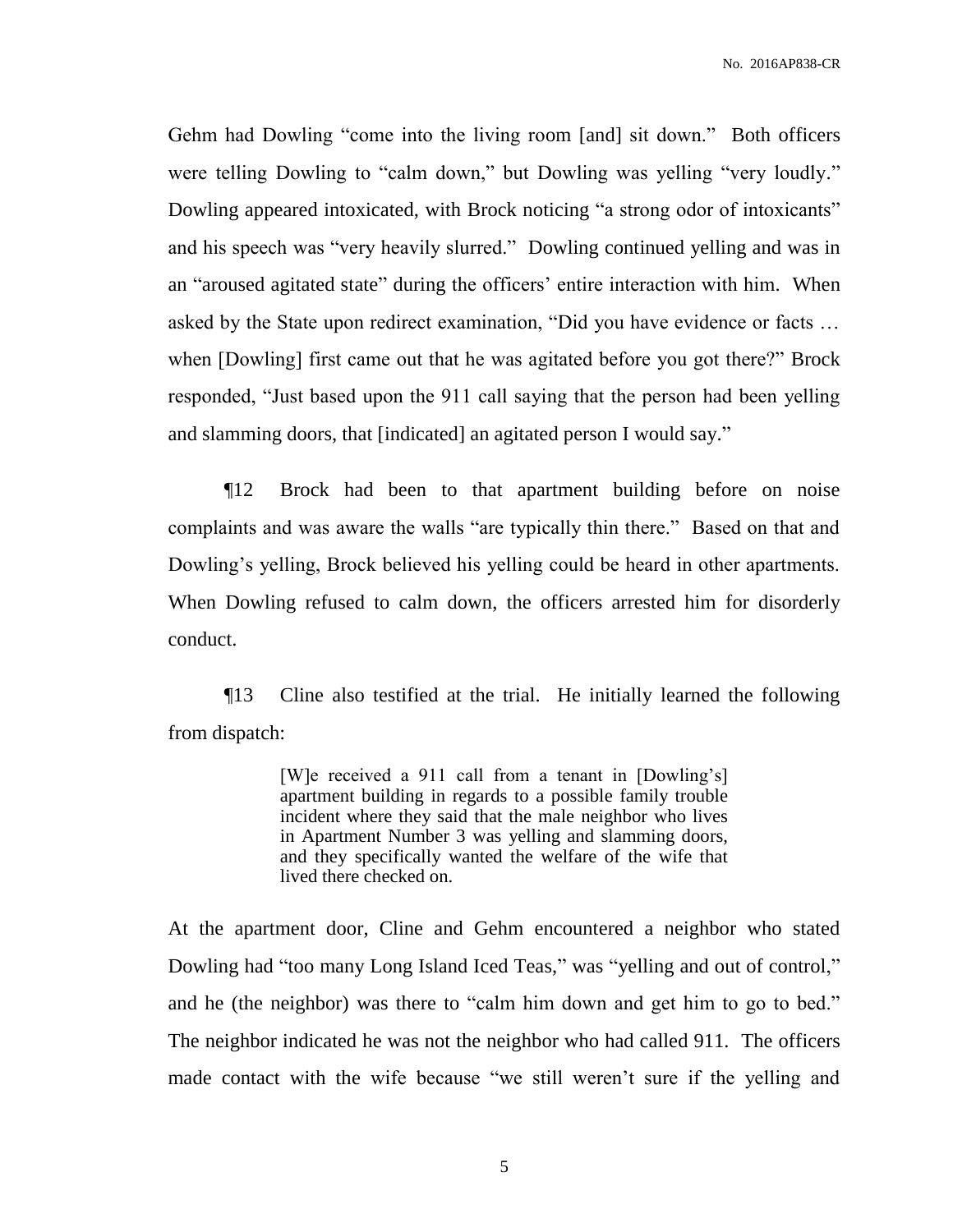Gehm had Dowling "come into the living room [and] sit down." Both officers were telling Dowling to "calm down," but Dowling was yelling "very loudly." Dowling appeared intoxicated, with Brock noticing "a strong odor of intoxicants" and his speech was "very heavily slurred." Dowling continued yelling and was in an "aroused agitated state" during the officers' entire interaction with him. When asked by the State upon redirect examination, "Did you have evidence or facts … when [Dowling] first came out that he was agitated before you got there?" Brock responded, "Just based upon the 911 call saying that the person had been yelling and slamming doors, that [indicated] an agitated person I would say."

¶12 Brock had been to that apartment building before on noise complaints and was aware the walls "are typically thin there." Based on that and Dowling's yelling, Brock believed his yelling could be heard in other apartments. When Dowling refused to calm down, the officers arrested him for disorderly conduct.

¶13 Cline also testified at the trial. He initially learned the following from dispatch:

> [W]e received a 911 call from a tenant in [Dowling's] apartment building in regards to a possible family trouble incident where they said that the male neighbor who lives in Apartment Number 3 was yelling and slamming doors, and they specifically wanted the welfare of the wife that lived there checked on.

At the apartment door, Cline and Gehm encountered a neighbor who stated Dowling had "too many Long Island Iced Teas," was "yelling and out of control," and he (the neighbor) was there to "calm him down and get him to go to bed." The neighbor indicated he was not the neighbor who had called 911. The officers made contact with the wife because "we still weren't sure if the yelling and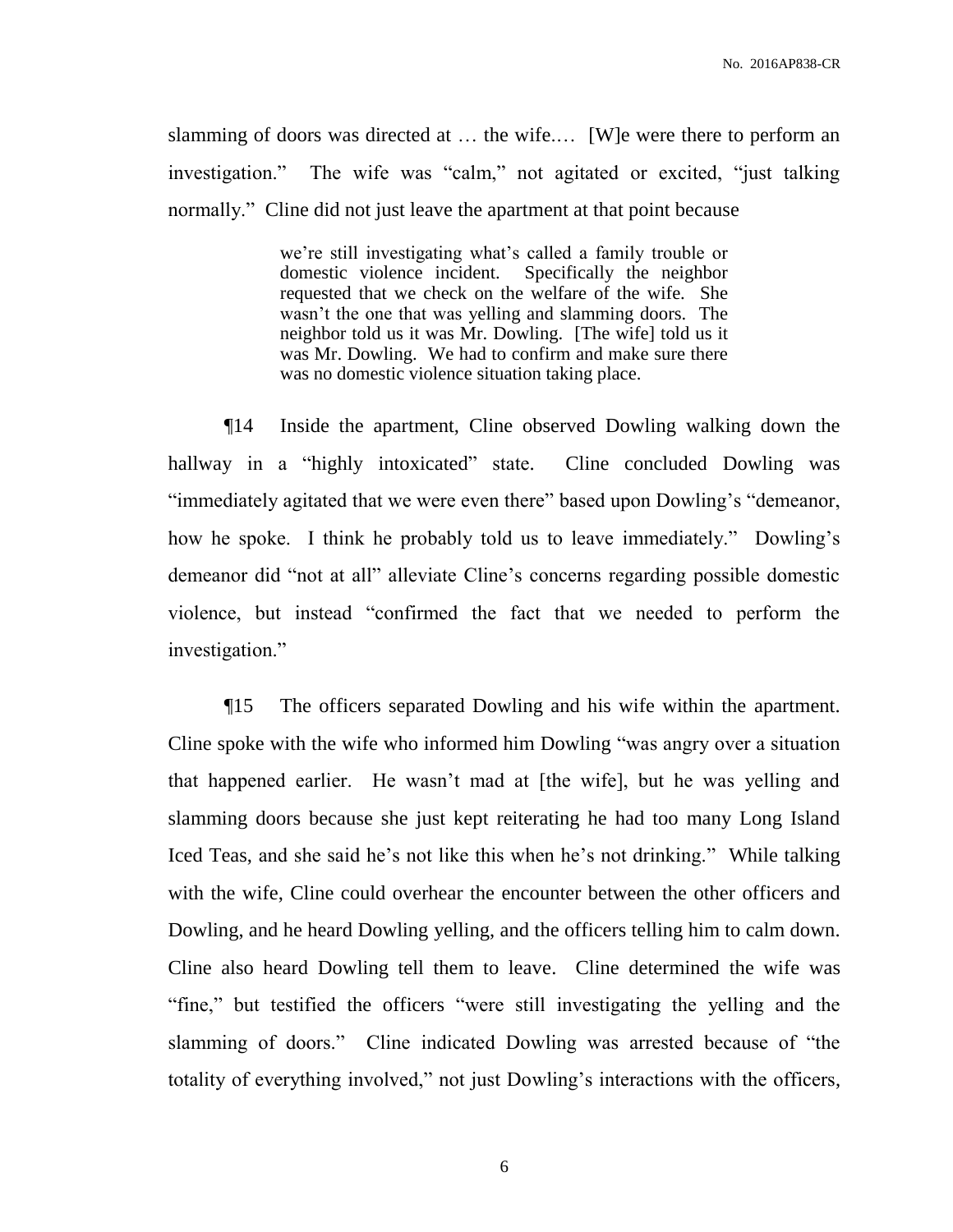slamming of doors was directed at … the wife.… [W]e were there to perform an investigation." The wife was "calm," not agitated or excited, "just talking normally." Cline did not just leave the apartment at that point because

> we're still investigating what's called a family trouble or domestic violence incident. Specifically the neighbor requested that we check on the welfare of the wife. She wasn't the one that was yelling and slamming doors. The neighbor told us it was Mr. Dowling. [The wife] told us it was Mr. Dowling. We had to confirm and make sure there was no domestic violence situation taking place.

¶14 Inside the apartment, Cline observed Dowling walking down the hallway in a "highly intoxicated" state. Cline concluded Dowling was "immediately agitated that we were even there" based upon Dowling's "demeanor, how he spoke. I think he probably told us to leave immediately." Dowling's demeanor did "not at all" alleviate Cline's concerns regarding possible domestic violence, but instead "confirmed the fact that we needed to perform the investigation."

¶15 The officers separated Dowling and his wife within the apartment. Cline spoke with the wife who informed him Dowling "was angry over a situation that happened earlier. He wasn't mad at [the wife], but he was yelling and slamming doors because she just kept reiterating he had too many Long Island Iced Teas, and she said he's not like this when he's not drinking." While talking with the wife, Cline could overhear the encounter between the other officers and Dowling, and he heard Dowling yelling, and the officers telling him to calm down. Cline also heard Dowling tell them to leave. Cline determined the wife was "fine," but testified the officers "were still investigating the yelling and the slamming of doors." Cline indicated Dowling was arrested because of "the totality of everything involved," not just Dowling's interactions with the officers,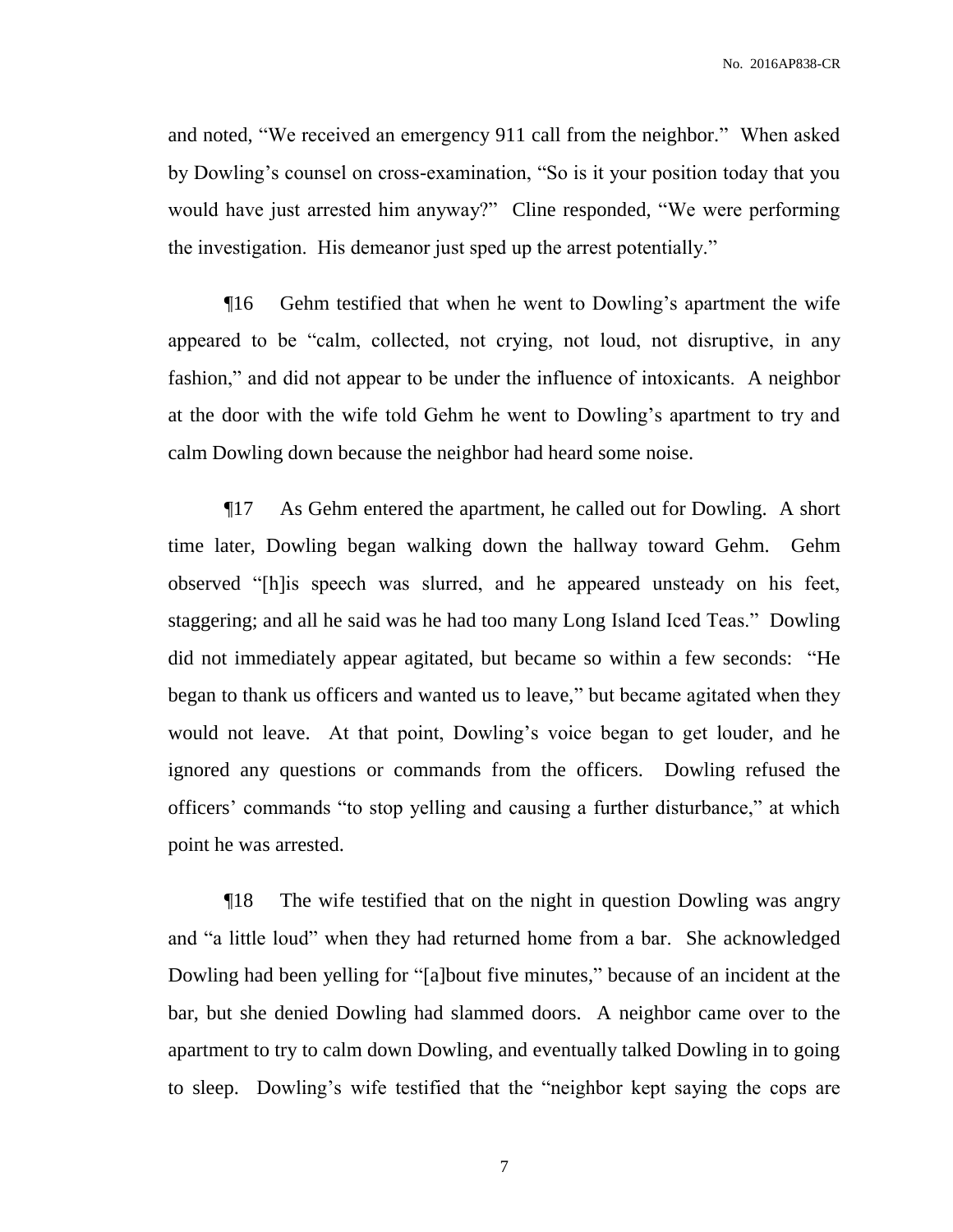No. 2016AP838-CR

and noted, "We received an emergency 911 call from the neighbor." When asked by Dowling's counsel on cross-examination, "So is it your position today that you would have just arrested him anyway?" Cline responded, "We were performing the investigation. His demeanor just sped up the arrest potentially."

¶16 Gehm testified that when he went to Dowling's apartment the wife appeared to be "calm, collected, not crying, not loud, not disruptive, in any fashion," and did not appear to be under the influence of intoxicants. A neighbor at the door with the wife told Gehm he went to Dowling's apartment to try and calm Dowling down because the neighbor had heard some noise.

¶17 As Gehm entered the apartment, he called out for Dowling. A short time later, Dowling began walking down the hallway toward Gehm. Gehm observed "[h]is speech was slurred, and he appeared unsteady on his feet, staggering; and all he said was he had too many Long Island Iced Teas." Dowling did not immediately appear agitated, but became so within a few seconds: "He began to thank us officers and wanted us to leave," but became agitated when they would not leave. At that point, Dowling's voice began to get louder, and he ignored any questions or commands from the officers. Dowling refused the officers' commands "to stop yelling and causing a further disturbance," at which point he was arrested.

¶18 The wife testified that on the night in question Dowling was angry and "a little loud" when they had returned home from a bar. She acknowledged Dowling had been yelling for "[a]bout five minutes," because of an incident at the bar, but she denied Dowling had slammed doors. A neighbor came over to the apartment to try to calm down Dowling, and eventually talked Dowling in to going to sleep. Dowling's wife testified that the "neighbor kept saying the cops are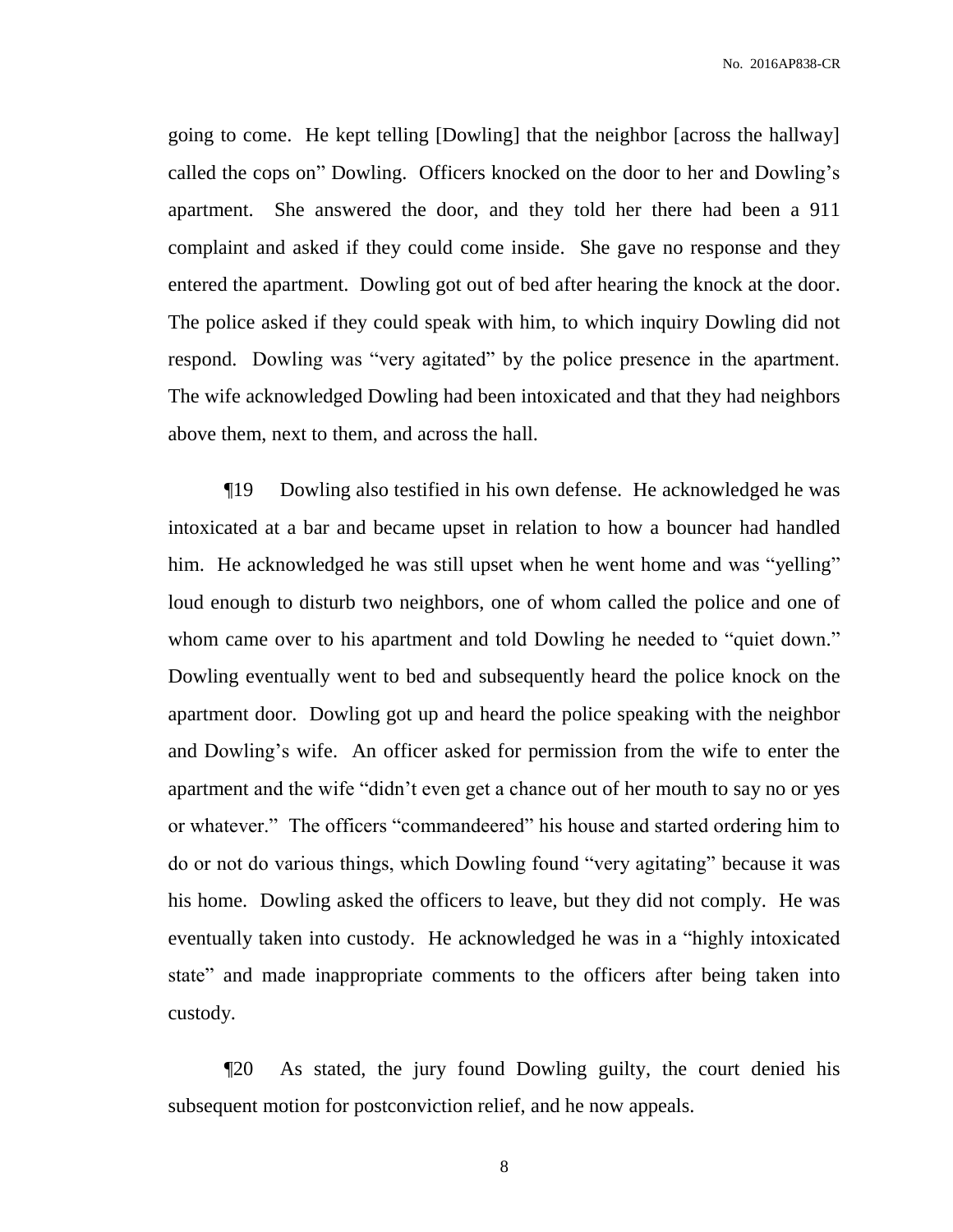No. 2016AP838-CR

going to come. He kept telling [Dowling] that the neighbor [across the hallway] called the cops on" Dowling. Officers knocked on the door to her and Dowling's apartment. She answered the door, and they told her there had been a 911 complaint and asked if they could come inside. She gave no response and they entered the apartment. Dowling got out of bed after hearing the knock at the door. The police asked if they could speak with him, to which inquiry Dowling did not respond. Dowling was "very agitated" by the police presence in the apartment. The wife acknowledged Dowling had been intoxicated and that they had neighbors above them, next to them, and across the hall.

¶19 Dowling also testified in his own defense. He acknowledged he was intoxicated at a bar and became upset in relation to how a bouncer had handled him. He acknowledged he was still upset when he went home and was "yelling" loud enough to disturb two neighbors, one of whom called the police and one of whom came over to his apartment and told Dowling he needed to "quiet down." Dowling eventually went to bed and subsequently heard the police knock on the apartment door. Dowling got up and heard the police speaking with the neighbor and Dowling's wife. An officer asked for permission from the wife to enter the apartment and the wife "didn't even get a chance out of her mouth to say no or yes or whatever." The officers "commandeered" his house and started ordering him to do or not do various things, which Dowling found "very agitating" because it was his home. Dowling asked the officers to leave, but they did not comply. He was eventually taken into custody. He acknowledged he was in a "highly intoxicated state" and made inappropriate comments to the officers after being taken into custody.

¶20 As stated, the jury found Dowling guilty, the court denied his subsequent motion for postconviction relief, and he now appeals.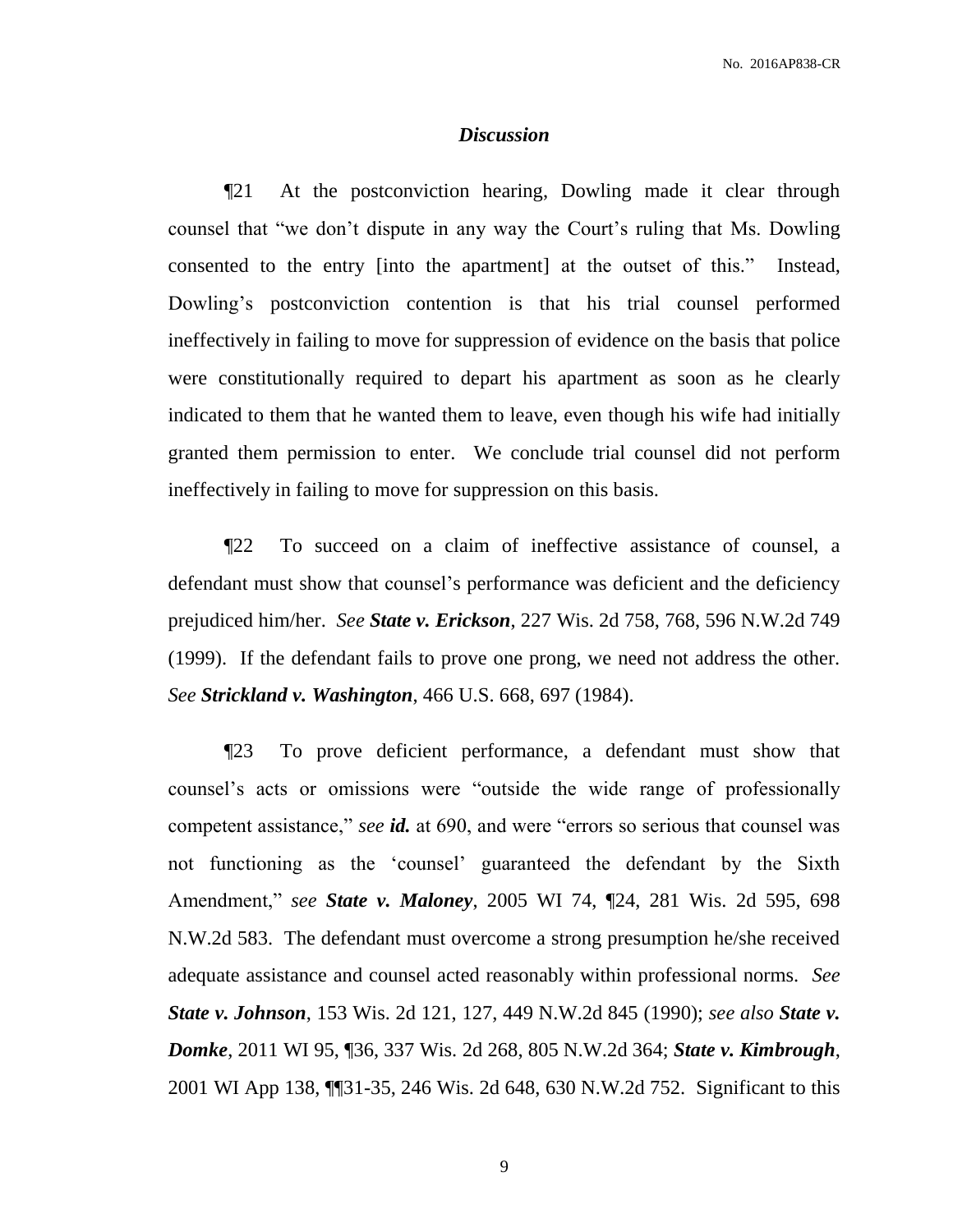### *Discussion*

¶21 At the postconviction hearing, Dowling made it clear through counsel that "we don't dispute in any way the Court's ruling that Ms. Dowling consented to the entry [into the apartment] at the outset of this." Instead, Dowling's postconviction contention is that his trial counsel performed ineffectively in failing to move for suppression of evidence on the basis that police were constitutionally required to depart his apartment as soon as he clearly indicated to them that he wanted them to leave, even though his wife had initially granted them permission to enter. We conclude trial counsel did not perform ineffectively in failing to move for suppression on this basis.

¶22 To succeed on a claim of ineffective assistance of counsel, a defendant must show that counsel's performance was deficient and the deficiency prejudiced him/her. *See State v. Erickson*, 227 Wis. 2d 758, 768, 596 N.W.2d 749 (1999). If the defendant fails to prove one prong, we need not address the other. *See Strickland v. Washington*, 466 U.S. 668, 697 (1984).

¶23 To prove deficient performance, a defendant must show that counsel's acts or omissions were "outside the wide range of professionally competent assistance," *see id.* at 690, and were "errors so serious that counsel was not functioning as the 'counsel' guaranteed the defendant by the Sixth Amendment," *see State v. Maloney*, 2005 WI 74, ¶24, 281 Wis. 2d 595, 698 N.W.2d 583. The defendant must overcome a strong presumption he/she received adequate assistance and counsel acted reasonably within professional norms. *See State v. Johnson*, 153 Wis. 2d 121, 127, 449 N.W.2d 845 (1990); *see also State v. Domke*, 2011 WI 95, ¶36, 337 Wis. 2d 268, 805 N.W.2d 364; *State v. Kimbrough*, 2001 WI App 138, ¶¶31-35, 246 Wis. 2d 648, 630 N.W.2d 752. Significant to this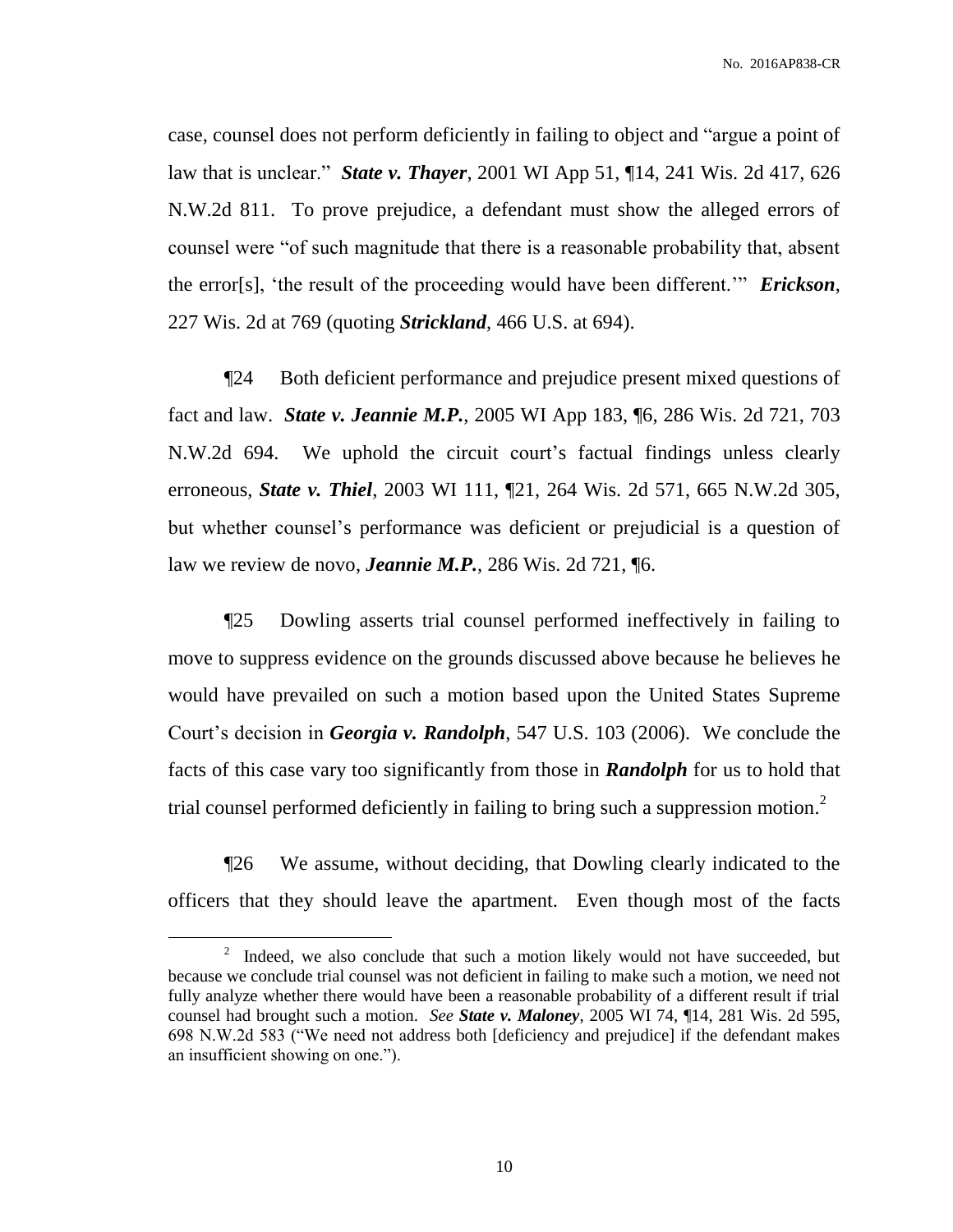No. 2016AP838-CR

case, counsel does not perform deficiently in failing to object and "argue a point of law that is unclear." *State v. Thayer*, 2001 WI App 51, ¶14, 241 Wis. 2d 417, 626 N.W.2d 811. To prove prejudice, a defendant must show the alleged errors of counsel were "of such magnitude that there is a reasonable probability that, absent the error[s], 'the result of the proceeding would have been different.'" *Erickson*, 227 Wis. 2d at 769 (quoting *Strickland*, 466 U.S. at 694).

¶24 Both deficient performance and prejudice present mixed questions of fact and law. *State v. Jeannie M.P.*, 2005 WI App 183, ¶6, 286 Wis. 2d 721, 703 N.W.2d 694. We uphold the circuit court's factual findings unless clearly erroneous, *State v. Thiel*, 2003 WI 111, ¶21, 264 Wis. 2d 571, 665 N.W.2d 305, but whether counsel's performance was deficient or prejudicial is a question of law we review de novo, *Jeannie M.P.*, 286 Wis. 2d 721, ¶6.

¶25 Dowling asserts trial counsel performed ineffectively in failing to move to suppress evidence on the grounds discussed above because he believes he would have prevailed on such a motion based upon the United States Supreme Court's decision in *Georgia v. Randolph*, 547 U.S. 103 (2006). We conclude the facts of this case vary too significantly from those in *Randolph* for us to hold that trial counsel performed deficiently in failing to bring such a suppression motion.<sup>2</sup>

¶26 We assume, without deciding, that Dowling clearly indicated to the officers that they should leave the apartment. Even though most of the facts

 $\overline{a}$ 

 $2^2$  Indeed, we also conclude that such a motion likely would not have succeeded, but because we conclude trial counsel was not deficient in failing to make such a motion, we need not fully analyze whether there would have been a reasonable probability of a different result if trial counsel had brought such a motion. *See State v. Maloney*, 2005 WI 74, ¶14, 281 Wis. 2d 595, 698 N.W.2d 583 ("We need not address both [deficiency and prejudice] if the defendant makes an insufficient showing on one.").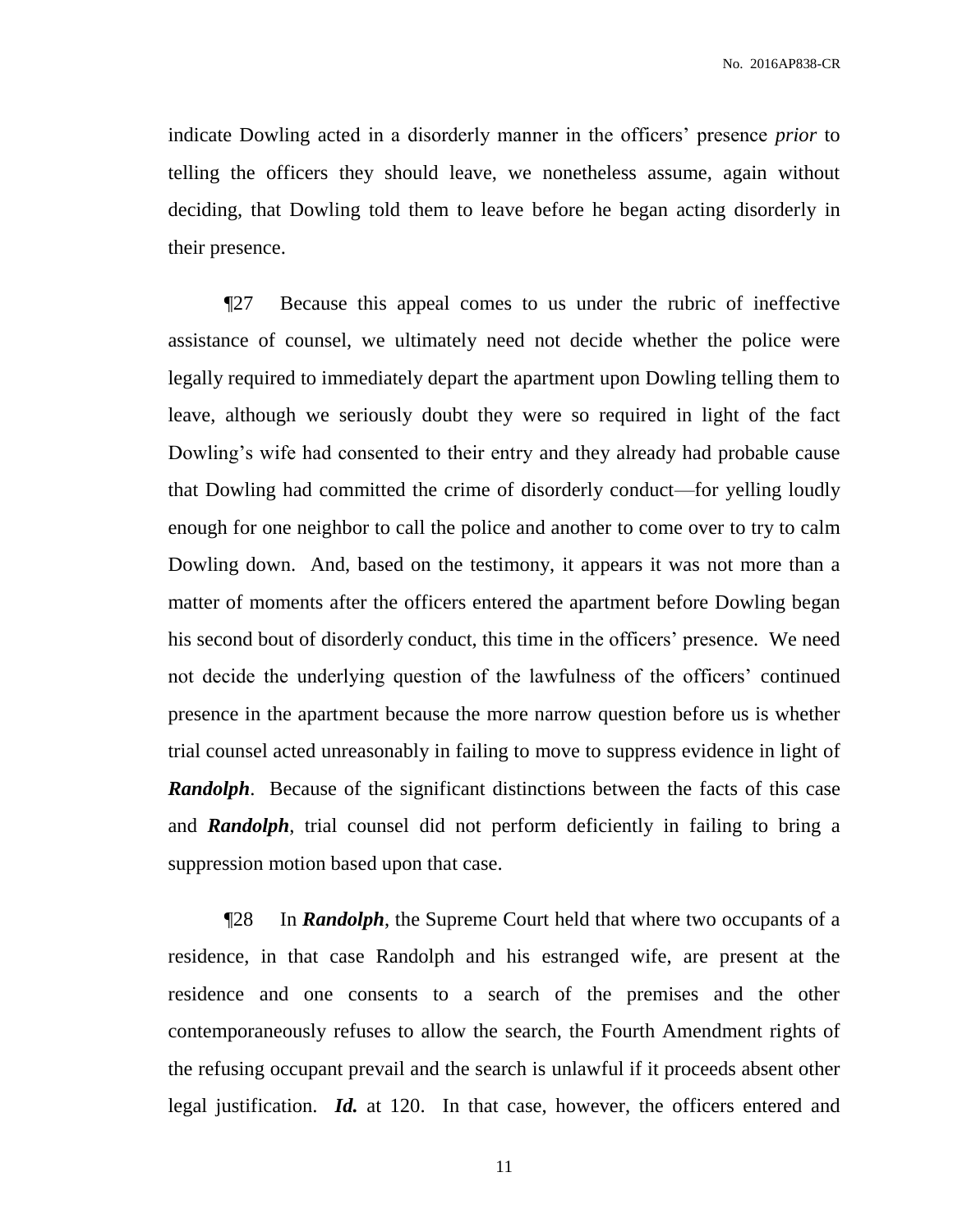indicate Dowling acted in a disorderly manner in the officers' presence *prior* to telling the officers they should leave, we nonetheless assume, again without deciding, that Dowling told them to leave before he began acting disorderly in their presence.

¶27 Because this appeal comes to us under the rubric of ineffective assistance of counsel, we ultimately need not decide whether the police were legally required to immediately depart the apartment upon Dowling telling them to leave, although we seriously doubt they were so required in light of the fact Dowling's wife had consented to their entry and they already had probable cause that Dowling had committed the crime of disorderly conduct—for yelling loudly enough for one neighbor to call the police and another to come over to try to calm Dowling down. And, based on the testimony, it appears it was not more than a matter of moments after the officers entered the apartment before Dowling began his second bout of disorderly conduct, this time in the officers' presence. We need not decide the underlying question of the lawfulness of the officers' continued presence in the apartment because the more narrow question before us is whether trial counsel acted unreasonably in failing to move to suppress evidence in light of **Randolph.** Because of the significant distinctions between the facts of this case and *Randolph*, trial counsel did not perform deficiently in failing to bring a suppression motion based upon that case.

¶28 In *Randolph*, the Supreme Court held that where two occupants of a residence, in that case Randolph and his estranged wife, are present at the residence and one consents to a search of the premises and the other contemporaneously refuses to allow the search, the Fourth Amendment rights of the refusing occupant prevail and the search is unlawful if it proceeds absent other legal justification. *Id.* at 120. In that case, however, the officers entered and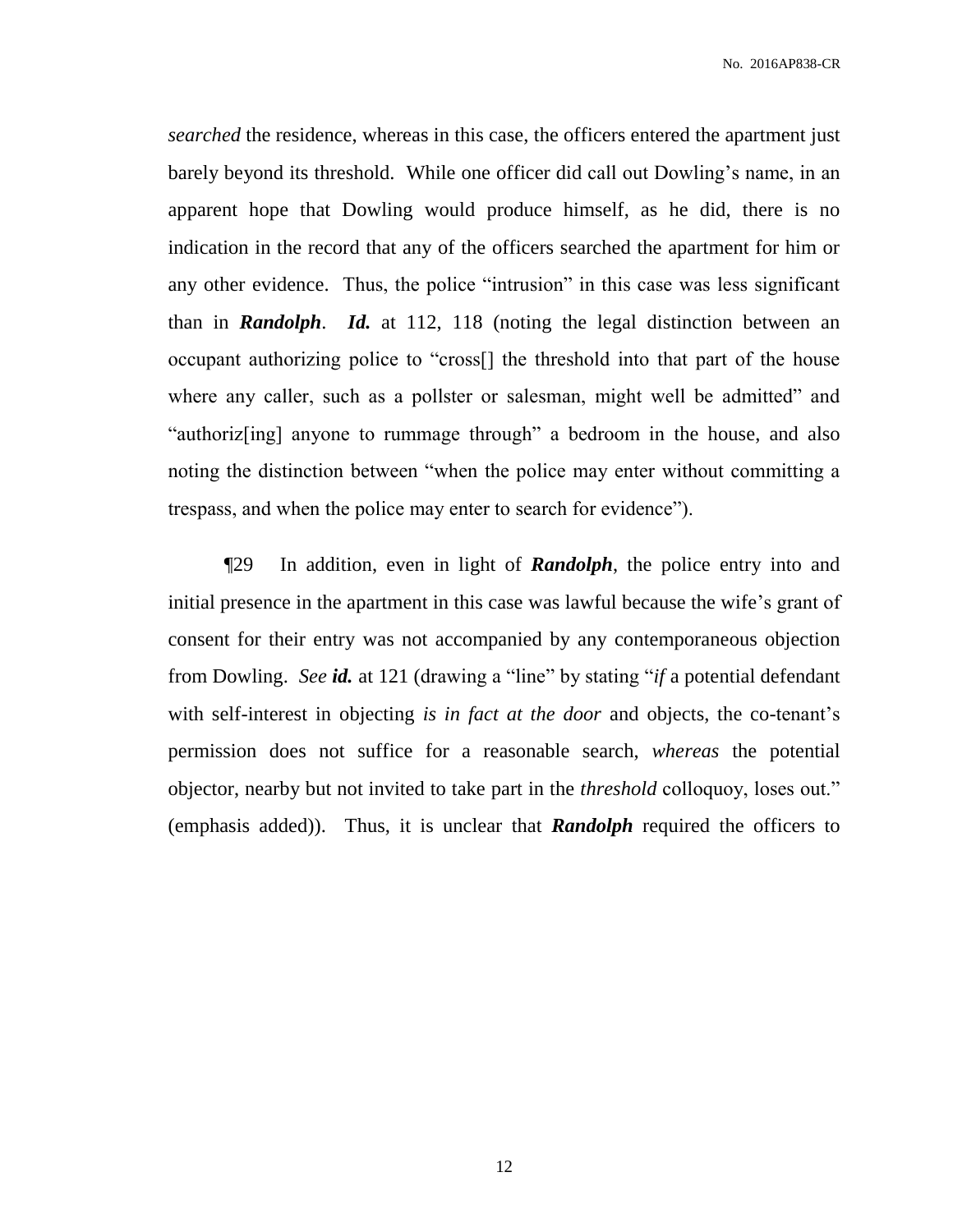*searched* the residence, whereas in this case, the officers entered the apartment just barely beyond its threshold. While one officer did call out Dowling's name, in an apparent hope that Dowling would produce himself, as he did, there is no indication in the record that any of the officers searched the apartment for him or any other evidence. Thus, the police "intrusion" in this case was less significant than in *Randolph*. *Id.* at 112, 118 (noting the legal distinction between an occupant authorizing police to "cross[] the threshold into that part of the house where any caller, such as a pollster or salesman, might well be admitted" and "authoriz[ing] anyone to rummage through" a bedroom in the house, and also noting the distinction between "when the police may enter without committing a trespass, and when the police may enter to search for evidence").

¶29 In addition, even in light of *Randolph*, the police entry into and initial presence in the apartment in this case was lawful because the wife's grant of consent for their entry was not accompanied by any contemporaneous objection from Dowling. *See id.* at 121 (drawing a "line" by stating "*if* a potential defendant with self-interest in objecting *is in fact at the door* and objects, the co-tenant's permission does not suffice for a reasonable search, *whereas* the potential objector, nearby but not invited to take part in the *threshold* colloquoy, loses out." (emphasis added)). Thus, it is unclear that *Randolph* required the officers to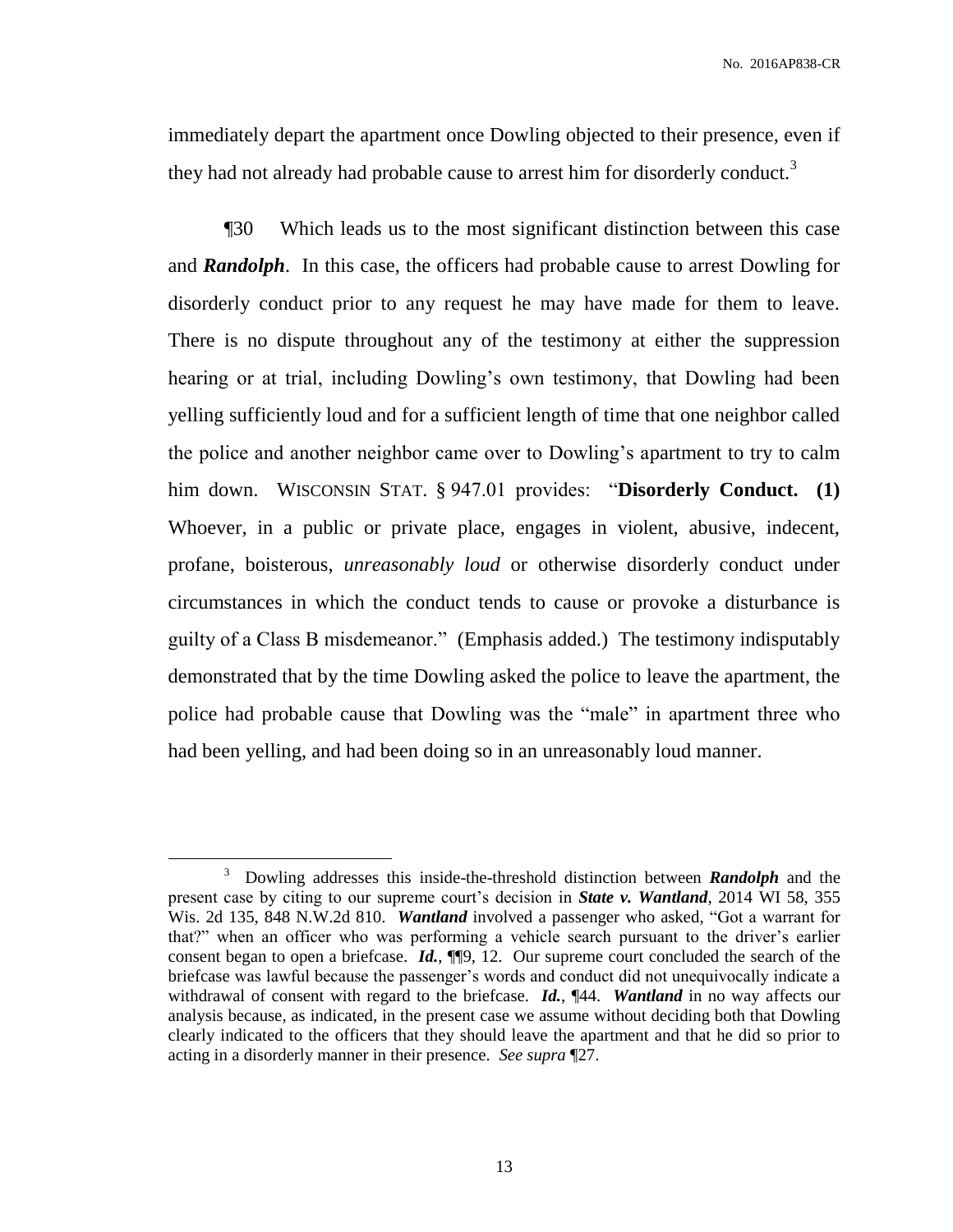immediately depart the apartment once Dowling objected to their presence, even if they had not already had probable cause to arrest him for disorderly conduct.<sup>3</sup>

¶30 Which leads us to the most significant distinction between this case and *Randolph*. In this case, the officers had probable cause to arrest Dowling for disorderly conduct prior to any request he may have made for them to leave. There is no dispute throughout any of the testimony at either the suppression hearing or at trial, including Dowling's own testimony, that Dowling had been yelling sufficiently loud and for a sufficient length of time that one neighbor called the police and another neighbor came over to Dowling's apartment to try to calm him down. WISCONSIN STAT. § 947.01 provides: "**Disorderly Conduct. (1)** Whoever, in a public or private place, engages in violent, abusive, indecent, profane, boisterous, *unreasonably loud* or otherwise disorderly conduct under circumstances in which the conduct tends to cause or provoke a disturbance is guilty of a Class B misdemeanor." (Emphasis added.) The testimony indisputably demonstrated that by the time Dowling asked the police to leave the apartment, the police had probable cause that Dowling was the "male" in apartment three who had been yelling, and had been doing so in an unreasonably loud manner.

 $\overline{a}$ 

<sup>3</sup> Dowling addresses this inside-the-threshold distinction between *Randolph* and the present case by citing to our supreme court's decision in *State v. Wantland*, 2014 WI 58, 355 Wis. 2d 135, 848 N.W.2d 810. *Wantland* involved a passenger who asked, "Got a warrant for that?" when an officer who was performing a vehicle search pursuant to the driver's earlier consent began to open a briefcase. *Id.*, ¶¶9, 12. Our supreme court concluded the search of the briefcase was lawful because the passenger's words and conduct did not unequivocally indicate a withdrawal of consent with regard to the briefcase. *Id.*, ¶44. *Wantland* in no way affects our analysis because, as indicated, in the present case we assume without deciding both that Dowling clearly indicated to the officers that they should leave the apartment and that he did so prior to acting in a disorderly manner in their presence. *See supra* ¶27.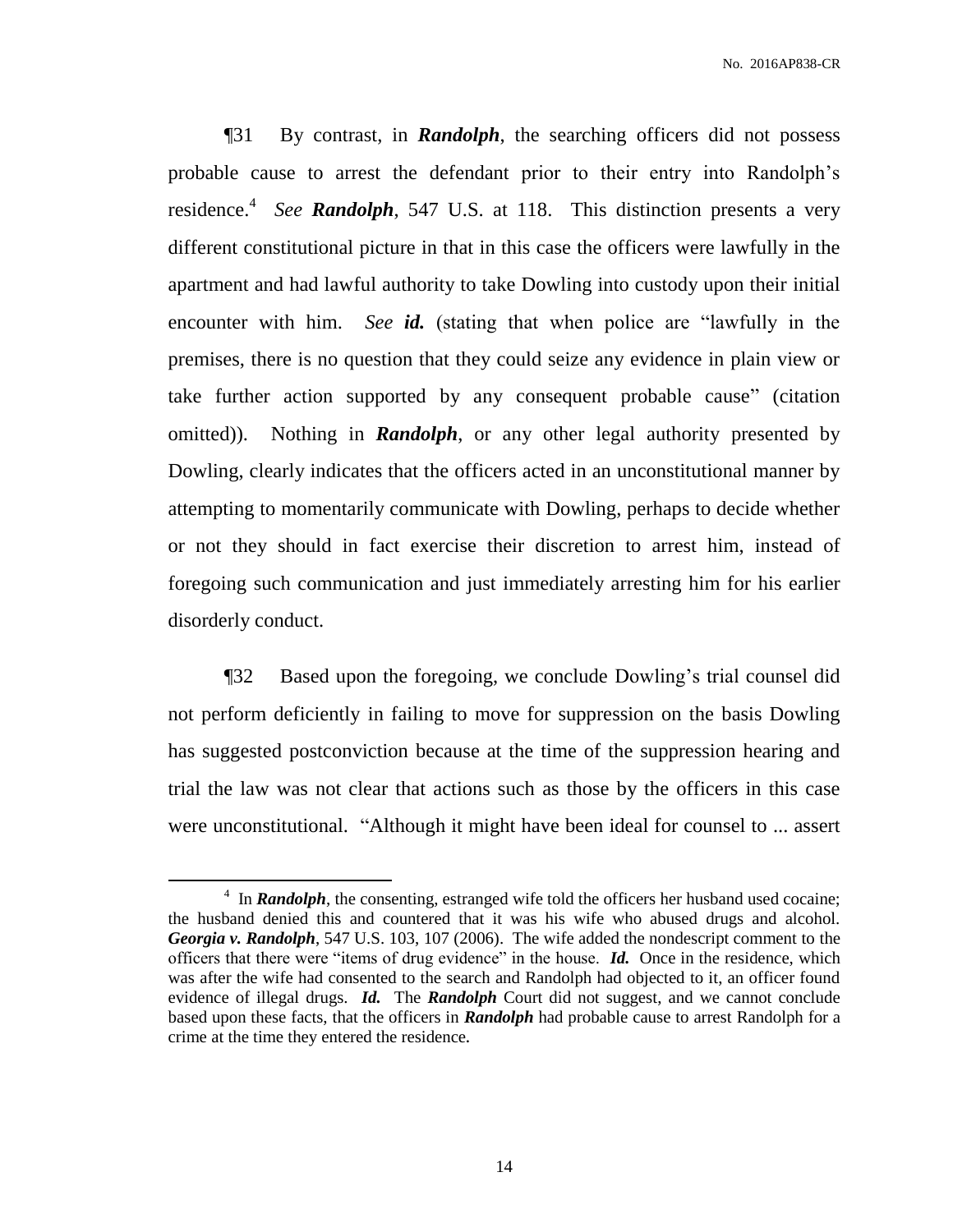¶31 By contrast, in *Randolph*, the searching officers did not possess probable cause to arrest the defendant prior to their entry into Randolph's residence. 4 *See Randolph*, 547 U.S. at 118. This distinction presents a very different constitutional picture in that in this case the officers were lawfully in the apartment and had lawful authority to take Dowling into custody upon their initial encounter with him. *See id.* (stating that when police are "lawfully in the premises, there is no question that they could seize any evidence in plain view or take further action supported by any consequent probable cause" (citation omitted)). Nothing in *Randolph*, or any other legal authority presented by Dowling, clearly indicates that the officers acted in an unconstitutional manner by attempting to momentarily communicate with Dowling, perhaps to decide whether or not they should in fact exercise their discretion to arrest him, instead of foregoing such communication and just immediately arresting him for his earlier disorderly conduct.

¶32 Based upon the foregoing, we conclude Dowling's trial counsel did not perform deficiently in failing to move for suppression on the basis Dowling has suggested postconviction because at the time of the suppression hearing and trial the law was not clear that actions such as those by the officers in this case were unconstitutional. "Although it might have been ideal for counsel to ... assert

 $\overline{a}$ 

<sup>&</sup>lt;sup>4</sup> In *Randolph*, the consenting, estranged wife told the officers her husband used cocaine; the husband denied this and countered that it was his wife who abused drugs and alcohol. *Georgia v. Randolph*, 547 U.S. 103, 107 (2006). The wife added the nondescript comment to the officers that there were "items of drug evidence" in the house. *Id.* Once in the residence, which was after the wife had consented to the search and Randolph had objected to it, an officer found evidence of illegal drugs. *Id.* The *Randolph* Court did not suggest, and we cannot conclude based upon these facts, that the officers in *Randolph* had probable cause to arrest Randolph for a crime at the time they entered the residence**.**